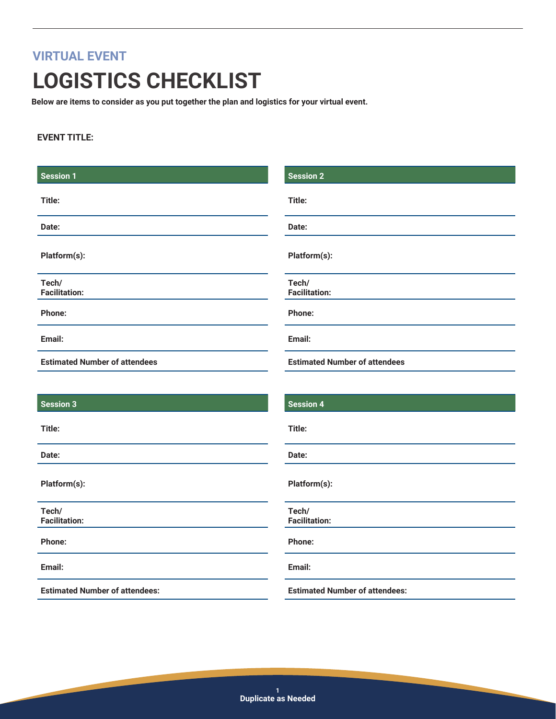# **VIRTUAL EVENT LOGISTICS CHECKLIST**

**Below are items to consider as you put together the plan and logistics for your virtual event.**

#### **EVENT TITLE:**

| <b>Session 1</b>                     | <b>Session 2</b>                     |  |
|--------------------------------------|--------------------------------------|--|
| Title:                               | Title:                               |  |
| Date:                                | Date:                                |  |
| Platform(s):                         | Platform(s):                         |  |
| Tech/<br><b>Facilitation:</b>        | Tech/<br><b>Facilitation:</b>        |  |
| Phone:                               | Phone:                               |  |
| Email:                               | Email:                               |  |
| <b>Estimated Number of attendees</b> | <b>Estimated Number of attendees</b> |  |
|                                      |                                      |  |
| <b>Session 3</b>                     | <b>Session 4</b>                     |  |
| Title:                               | Title:                               |  |
| Date:                                | Date:                                |  |
| Platform(s):                         | Platform(s):                         |  |
| Tech/<br><b>Facilitation:</b>        | Tech/<br><b>Facilitation:</b>        |  |

**Phone:**

**Email:**

**Estimated Number of attendees:**

**Email:**

**Phone:**

**Estimated Number of attendees:**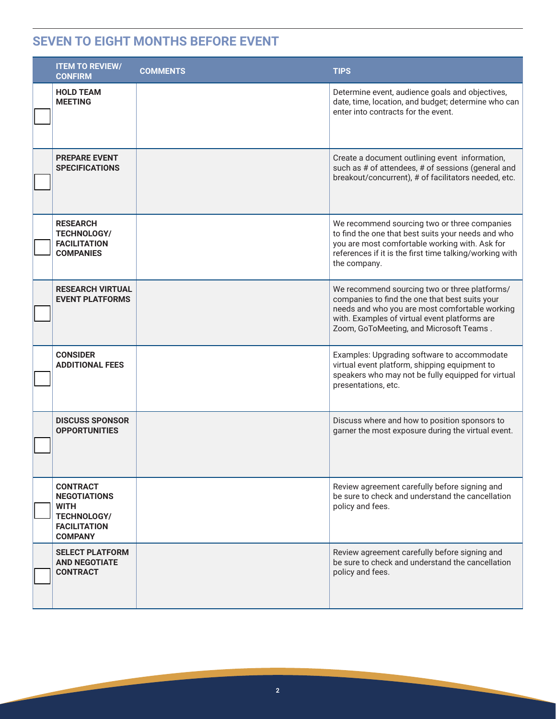#### **SEVEN TO EIGHT MONTHS BEFORE EVENT**

| <b>ITEM TO REVIEW/</b><br><b>CONFIRM</b>                                                                             | <b>COMMENTS</b> | <b>TIPS</b>                                                                                                                                                                                                                                   |
|----------------------------------------------------------------------------------------------------------------------|-----------------|-----------------------------------------------------------------------------------------------------------------------------------------------------------------------------------------------------------------------------------------------|
| <b>HOLD TEAM</b><br><b>MEETING</b>                                                                                   |                 | Determine event, audience goals and objectives,<br>date, time, location, and budget; determine who can<br>enter into contracts for the event.                                                                                                 |
| <b>PREPARE EVENT</b><br><b>SPECIFICATIONS</b>                                                                        |                 | Create a document outlining event information,<br>such as # of attendees, # of sessions (general and<br>breakout/concurrent), # of facilitators needed, etc.                                                                                  |
| <b>RESEARCH</b><br><b>TECHNOLOGY/</b><br><b>FACILITATION</b><br><b>COMPANIES</b>                                     |                 | We recommend sourcing two or three companies<br>to find the one that best suits your needs and who<br>you are most comfortable working with. Ask for<br>references if it is the first time talking/working with<br>the company.               |
| <b>RESEARCH VIRTUAL</b><br><b>EVENT PLATFORMS</b>                                                                    |                 | We recommend sourcing two or three platforms/<br>companies to find the one that best suits your<br>needs and who you are most comfortable working<br>with. Examples of virtual event platforms are<br>Zoom, GoToMeeting, and Microsoft Teams. |
| <b>CONSIDER</b><br><b>ADDITIONAL FEES</b>                                                                            |                 | Examples: Upgrading software to accommodate<br>virtual event platform, shipping equipment to<br>speakers who may not be fully equipped for virtual<br>presentations, etc.                                                                     |
| <b>DISCUSS SPONSOR</b><br><b>OPPORTUNITIES</b>                                                                       |                 | Discuss where and how to position sponsors to<br>garner the most exposure during the virtual event.                                                                                                                                           |
| <b>CONTRACT</b><br><b>NEGOTIATIONS</b><br><b>WITH</b><br><b>TECHNOLOGY/</b><br><b>FACILITATION</b><br><b>COMPANY</b> |                 | Review agreement carefully before signing and<br>be sure to check and understand the cancellation<br>policy and fees.                                                                                                                         |
| <b>SELECT PLATFORM</b><br><b>AND NEGOTIATE</b><br><b>CONTRACT</b>                                                    |                 | Review agreement carefully before signing and<br>be sure to check and understand the cancellation<br>policy and fees.                                                                                                                         |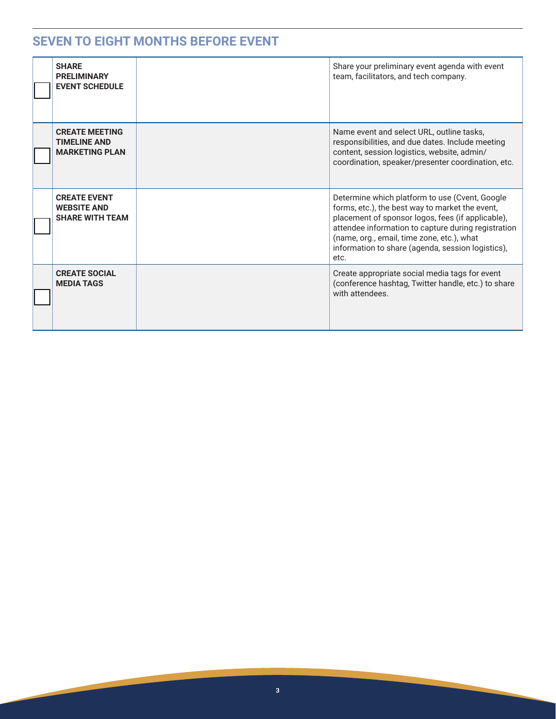#### **SEVEN TO EIGHT MONTHS BEFORE EVENT**

| <b>SHARE</b><br><b>PRELIMINARY</b><br><b>EVENT SCHEDULE</b>           | Share your preliminary event agenda with event<br>team, facilitators, and tech company.                                                                                                                                                                                                                                  |
|-----------------------------------------------------------------------|--------------------------------------------------------------------------------------------------------------------------------------------------------------------------------------------------------------------------------------------------------------------------------------------------------------------------|
| <b>CREATE MEETING</b><br><b>TIMELINE AND</b><br><b>MARKETING PLAN</b> | Name event and select URL, outline tasks,<br>responsibilities, and due dates. Include meeting<br>content, session logistics, website, admin/<br>coordination, speaker/presenter coordination, etc.                                                                                                                       |
| <b>CREATE EVENT</b><br><b>WEBSITE AND</b><br><b>SHARE WITH TEAM</b>   | Determine which platform to use (Cvent, Google<br>forms, etc.), the best way to market the event,<br>placement of sponsor logos, fees (if applicable),<br>attendee information to capture during registration<br>(name, org., email, time zone, etc.), what<br>information to share (agenda, session logistics),<br>etc. |
| <b>CREATE SOCIAL</b><br><b>MEDIA TAGS</b>                             | Create appropriate social media tags for event<br>(conference hashtag, Twitter handle, etc.) to share<br>with attendees.                                                                                                                                                                                                 |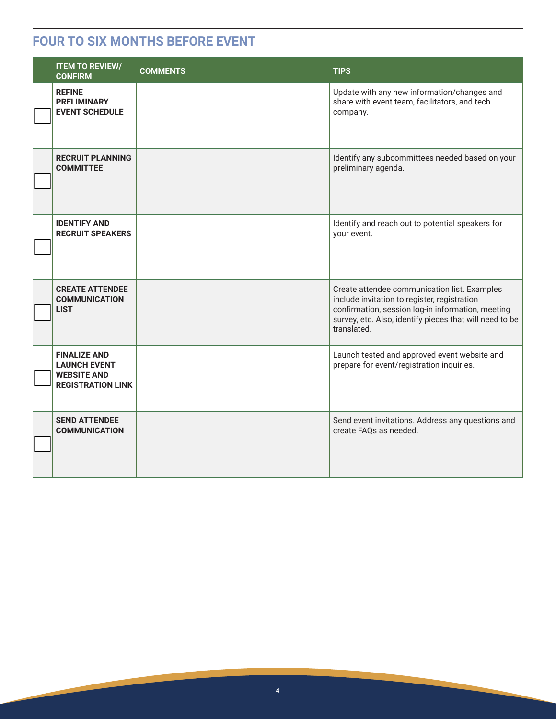#### **FOUR TO SIX MONTHS BEFORE EVENT**

| <b>ITEM TO REVIEW/</b><br><b>CONFIRM</b>                                                     | <b>COMMENTS</b> | <b>TIPS</b>                                                                                                                                                                                                                 |
|----------------------------------------------------------------------------------------------|-----------------|-----------------------------------------------------------------------------------------------------------------------------------------------------------------------------------------------------------------------------|
| <b>REFINE</b><br><b>PRELIMINARY</b><br><b>EVENT SCHEDULE</b>                                 |                 | Update with any new information/changes and<br>share with event team, facilitators, and tech<br>company.                                                                                                                    |
| <b>RECRUIT PLANNING</b><br><b>COMMITTEE</b>                                                  |                 | Identify any subcommittees needed based on your<br>preliminary agenda.                                                                                                                                                      |
| <b>IDENTIFY AND</b><br><b>RECRUIT SPEAKERS</b>                                               |                 | Identify and reach out to potential speakers for<br>your event.                                                                                                                                                             |
| <b>CREATE ATTENDEE</b><br><b>COMMUNICATION</b><br><b>LIST</b>                                |                 | Create attendee communication list. Examples<br>include invitation to register, registration<br>confirmation, session log-in information, meeting<br>survey, etc. Also, identify pieces that will need to be<br>translated. |
| <b>FINALIZE AND</b><br><b>LAUNCH EVENT</b><br><b>WEBSITE AND</b><br><b>REGISTRATION LINK</b> |                 | Launch tested and approved event website and<br>prepare for event/registration inquiries.                                                                                                                                   |
| <b>SEND ATTENDEE</b><br><b>COMMUNICATION</b>                                                 |                 | Send event invitations. Address any questions and<br>create FAQs as needed.                                                                                                                                                 |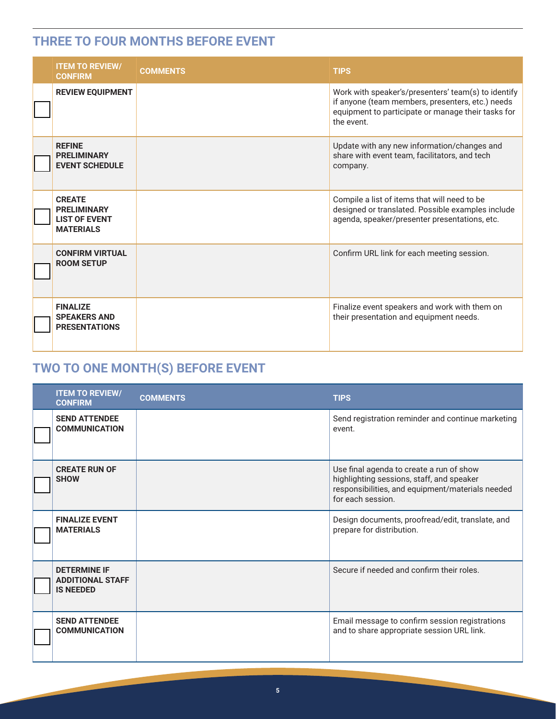#### **THREE TO FOUR MONTHS BEFORE EVENT**

| <b>ITEM TO REVIEW/</b><br><b>CONFIRM</b>                                        | <b>COMMENTS</b> | <b>TIPS</b>                                                                                                                                                                 |
|---------------------------------------------------------------------------------|-----------------|-----------------------------------------------------------------------------------------------------------------------------------------------------------------------------|
| <b>REVIEW EQUIPMENT</b>                                                         |                 | Work with speaker's/presenters' team(s) to identify<br>if anyone (team members, presenters, etc.) needs<br>equipment to participate or manage their tasks for<br>the event. |
| <b>REFINE</b><br><b>PRELIMINARY</b><br><b>EVENT SCHEDULE</b>                    |                 | Update with any new information/changes and<br>share with event team, facilitators, and tech<br>company.                                                                    |
| <b>CREATE</b><br><b>PRELIMINARY</b><br><b>LIST OF EVENT</b><br><b>MATERIALS</b> |                 | Compile a list of items that will need to be<br>designed or translated. Possible examples include<br>agenda, speaker/presenter presentations, etc.                          |
| <b>CONFIRM VIRTUAL</b><br><b>ROOM SETUP</b>                                     |                 | Confirm URL link for each meeting session.                                                                                                                                  |
| <b>FINALIZE</b><br><b>SPEAKERS AND</b><br><b>PRESENTATIONS</b>                  |                 | Finalize event speakers and work with them on<br>their presentation and equipment needs.                                                                                    |

## **TWO TO ONE MONTH(S) BEFORE EVENT**

| <b>ITEM TO REVIEW/</b><br><b>CONFIRM</b>                           | <b>COMMENTS</b> | <b>TIPS</b>                                                                                                                                                    |
|--------------------------------------------------------------------|-----------------|----------------------------------------------------------------------------------------------------------------------------------------------------------------|
| <b>SEND ATTENDEE</b><br><b>COMMUNICATION</b>                       |                 | Send registration reminder and continue marketing<br>event.                                                                                                    |
| <b>CREATE RUN OF</b><br><b>SHOW</b>                                |                 | Use final agenda to create a run of show<br>highlighting sessions, staff, and speaker<br>responsibilities, and equipment/materials needed<br>for each session. |
| <b>FINALIZE EVENT</b><br><b>MATERIALS</b>                          |                 | Design documents, proofread/edit, translate, and<br>prepare for distribution.                                                                                  |
| <b>DETERMINE IF</b><br><b>ADDITIONAL STAFF</b><br><b>IS NEEDED</b> |                 | Secure if needed and confirm their roles.                                                                                                                      |
| <b>SEND ATTENDEE</b><br><b>COMMUNICATION</b>                       |                 | Email message to confirm session registrations<br>and to share appropriate session URL link.                                                                   |